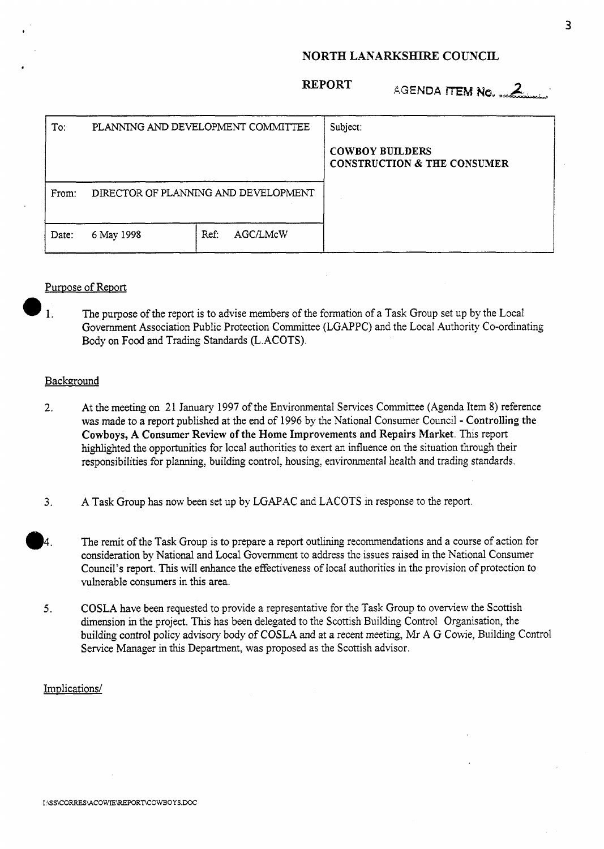## **NORTH LANARKSHIRE COUNCIL**

### **REPORT**

| AGENDA ITEM No. 4 |  |  |
|-------------------|--|--|
|                   |  |  |

| To:   | PLANNING AND DEVELOPMENT COMMITTEE   |                  | Subject:                                                         |
|-------|--------------------------------------|------------------|------------------------------------------------------------------|
|       |                                      |                  | <b>COWBOY BUILDERS</b><br><b>CONSTRUCTION &amp; THE CONSUMER</b> |
| From: | DIRECTOR OF PLANNING AND DEVELOPMENT |                  |                                                                  |
| Date: | 6 May 1998                           | AGC/LMcW<br>Ref: |                                                                  |

# Purpose of Report

1. The purpose of the report is to advise members of the formation of a Task Group set up by the Local Government Association Public Protection Committee (LGAPPC) and the Local Authority Co-ordinating Body on Food and Trading Standards (L.ACOTS).

#### **Background**

- 2. At the meeting on 21 January 1997 of the Environmental Services Committee (Agenda Item 8) reference **was** made to a report published at the end of 1996 by the National Consumer Council - Controlling the **Cowboys, A** Consumer Review **of** the Home Improvements and Repairs Market. This report highlighted the opportunities for local authorities to exert an influence on the situation through their responsibilities for planning, building control, housing, environmental health and trading standards.
- 3. A Task Group has now been set up by LGAPAC and LACOTS in response to the report.
- **04.** The remit of the Task Group is to prepare a report outlining recommendations and a course of action for consideration by National and Local Government to address the issues raised in the National Consumer Council's report. This will enhance the effectiveness of local authorities in the provision of protection to vulnerable consumers in this area.
- *5.* COSLA have been requested to provide a representative for the Task Group to overview the Scottish dimension in the project. This has been delegated to the Scottish Building Control Organisation, the building control policy advisory body of COSLA and at a recent meeting, Mr A G Cowie, Building Control Service Manager in this Department, was proposed as the Scottish advisor.

## Implications/